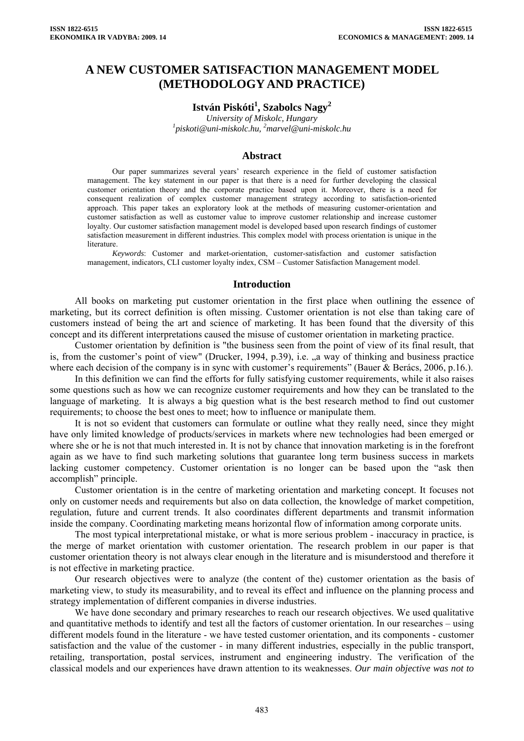# **A NEW CUSTOMER SATISFACTION MANAGEMENT MODEL (METHODOLOGY AND PRACTICE)**

# $\text{István Piskóti}^1, \text{Szabolcs Nagy}^2$

*University of Miskolc, Hungary 1 [piskoti@uni-miskolc.hu,](mailto:piskoti@uni-miskolc.hu) <sup>2</sup> marvel@uni-miskolc.hu* 

#### **Abstract**

Our paper summarizes several years' research experience in the field of customer satisfaction management. The key statement in our paper is that there is a need for further developing the classical customer orientation theory and the corporate practice based upon it. Moreover, there is a need for consequent realization of complex customer management strategy according to satisfaction-oriented approach. This paper takes an exploratory look at the methods of measuring customer-orientation and customer satisfaction as well as customer value to improve customer relationship and increase customer loyalty. Our customer satisfaction management model is developed based upon research findings of customer satisfaction measurement in different industries. This complex model with process orientation is unique in the literature.

*Keywords*: Customer and market-orientation, customer-satisfaction and customer satisfaction management, indicators, CLI customer loyalty index, CSM – Customer Satisfaction Management model.

#### **Introduction**

All books on marketing put customer orientation in the first place when outlining the essence of marketing, but its correct definition is often missing. Customer orientation is not else than taking care of customers instead of being the art and science of marketing. It has been found that the diversity of this concept and its different interpretations caused the misuse of customer orientation in marketing practice.

Customer orientation by definition is "the business seen from the point of view of its final result, that is, from the customer's point of view" [\(Drucker](http://en.wikipedia.org/wiki/Peter_F._Drucker), 1994, p.39), i.e. "a way of thinking and business practice where each decision of the company is in sync with customer's requirements" (Bauer & Berács, 2006, p.16.).

In this definition we can find the efforts for fully satisfying customer requirements, while it also raises some questions such as how we can recognize customer requirements and how they can be translated to the language of marketing. It is always a big question what is the best research method to find out customer requirements; to choose the best ones to meet; how to influence or manipulate them.

It is not so evident that customers can formulate or outline what they really need, since they might have only limited knowledge of products/services in markets where new technologies had been emerged or where she or he is not that much interested in. It is not by chance that innovation marketing is in the forefront again as we have to find such marketing solutions that guarantee long term business success in markets lacking customer competency. Customer orientation is no longer can be based upon the "ask then accomplish" principle.

Customer orientation is in the centre of marketing orientation and marketing concept. It focuses not only on customer needs and requirements but also on data collection, the knowledge of market competition, regulation, future and current trends. It also coordinates different departments and transmit information inside the company. Coordinating marketing means horizontal flow of information among corporate units.

The most typical interpretational mistake, or what is more serious problem - inaccuracy in practice, is the merge of market orientation with customer orientation. The research problem in our paper is that customer orientation theory is not always clear enough in the literature and is misunderstood and therefore it is not effective in marketing practice.

Our research objectives were to analyze (the content of the) customer orientation as the basis of marketing view, to study its measurability, and to reveal its effect and influence on the planning process and strategy implementation of different companies in diverse industries.

We have done secondary and primary researches to reach our research objectives. We used qualitative and quantitative methods to identify and test all the factors of customer orientation. In our researches – using different models found in the literature - we have tested customer orientation, and its components - customer satisfaction and the value of the customer - in many different industries, especially in the public transport, retailing, transportation, postal services, instrument and engineering industry. The verification of the classical models and our experiences have drawn attention to its weaknesses. *Our main objective was not to*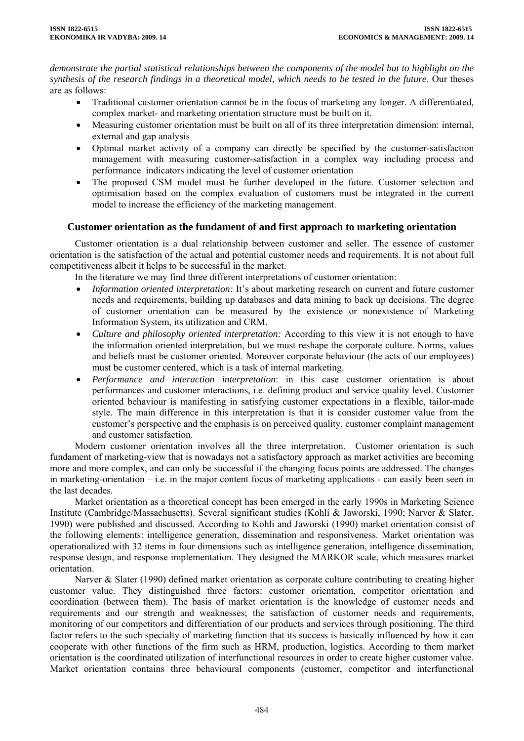*demonstrate the partial statistical relationships between the components of the model but to highlight on the synthesis of the research findings in a theoretical model, which needs to be tested in the future*. Our theses are as follows:

- Traditional customer orientation cannot be in the focus of marketing any longer. A differentiated, complex market- and marketing orientation structure must be built on it.
- Measuring customer orientation must be built on all of its three interpretation dimension: internal, external and gap analysis
- Optimal market activity of a company can directly be specified by the customer-satisfaction management with measuring customer-satisfaction in a complex way including process and performance indicators indicating the level of customer orientation
- The proposed CSM model must be further developed in the future. Customer selection and optimisation based on the complex evaluation of customers must be integrated in the current model to increase the efficiency of the marketing management.

# **Customer orientation as the fundament of and first approach to marketing orientation**

Customer orientation is a dual relationship between customer and seller. The essence of customer orientation is the satisfaction of the actual and potential customer needs and requirements. It is not about full competitiveness albeit it helps to be successful in the market.

In the literature we may find three different interpretations of customer orientation:

- *Information oriented interpretation:* It's about marketing research on current and future customer needs and requirements, building up databases and data mining to back up decisions. The degree of customer orientation can be measured by the existence or nonexistence of Marketing Information System, its utilization and CRM.
- *Culture and philosophy oriented interpretation:* According to this view it is not enough to have the information oriented interpretation, but we must reshape the corporate culture. Norms, values and beliefs must be customer oriented. Moreover corporate behaviour (the acts of our employees) must be customer centered, which is a task of internal marketing.
- *Performance and interaction interpretation*: in this case customer orientation is about performances and customer interactions, i.e. defining product and service quality level. Customer oriented behaviour is manifesting in satisfying customer expectations in a flexible, tailor-made style. The main difference in this interpretation is that it is consider customer value from the customer's perspective and the emphasis is on perceived quality, customer complaint management and customer satisfaction.

Modern customer orientation involves all the three interpretation. Customer orientation is such fundament of marketing-view that is nowadays not a satisfactory approach as market activities are becoming more and more complex, and can only be successful if the changing focus points are addressed. The changes in marketing-orientation – i.e. in the major content focus of marketing applications - can easily been seen in the last decades.

Market orientation as a theoretical concept has been emerged in the early 1990s in Marketing Science Institute (Cambridge/Massachusetts). Several significant studies (Kohli & Jaworski, 1990; Narver & Slater, 1990) were published and discussed. According to Kohli and Jaworski (1990) market orientation consist of the following elements: intelligence generation, dissemination and responsiveness. Market orientation was operationalized with 32 items in four dimensions such as intelligence generation, intelligence dissemination, response design, and response implementation. They designed the MARKOR scale, which measures market orientation.

Narver & Slater (1990) defined market orientation as corporate culture contributing to creating higher customer value. They distinguished three factors: customer orientation, competitor orientation and coordination (between them). The basis of market orientation is the knowledge of customer needs and requirements and our strength and weaknesses; the satisfaction of customer needs and requirements, monitoring of our competitors and differentiation of our products and services through positioning. The third factor refers to the such specialty of marketing function that its success is basically influenced by how it can cooperate with other functions of the firm such as HRM, production, logistics. According to them market orientation is the coordinated utilization of interfunctional resources in order to create higher customer value. Market orientation contains three behavioural components (customer, competitor and interfunctional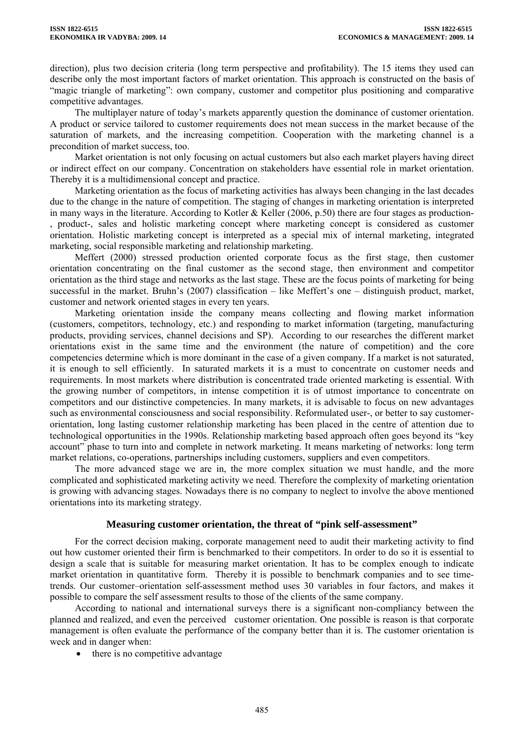direction), plus two decision criteria (long term perspective and profitability). The 15 items they used can describe only the most important factors of market orientation. This approach is constructed on the basis of "magic triangle of marketing": own company, customer and competitor plus positioning and comparative competitive advantages.

The multiplayer nature of today's markets apparently question the dominance of customer orientation. A product or service tailored to customer requirements does not mean success in the market because of the saturation of markets, and the increasing competition. Cooperation with the marketing channel is a precondition of market success, too.

Market orientation is not only focusing on actual customers but also each market players having direct or indirect effect on our company. Concentration on stakeholders have essential role in market orientation. Thereby it is a multidimensional concept and practice.

Marketing orientation as the focus of marketing activities has always been changing in the last decades due to the change in the nature of competition. The staging of changes in marketing orientation is interpreted in many ways in the literature. According to Kotler & Keller (2006, p.50) there are four stages as production-, product-, sales and holistic marketing concept where marketing concept is considered as customer orientation. Holistic marketing concept is interpreted as a special mix of internal marketing, integrated marketing, social responsible marketing and relationship marketing.

Meffert (2000) stressed production oriented corporate focus as the first stage, then customer orientation concentrating on the final customer as the second stage, then environment and competitor orientation as the third stage and networks as the last stage. These are the focus points of marketing for being successful in the market. Bruhn's (2007) classification – like Meffert's one – distinguish product, market, customer and network oriented stages in every ten years.

Marketing orientation inside the company means collecting and flowing market information (customers, competitors, technology, etc.) and responding to market information (targeting, manufacturing products, providing services, channel decisions and SP). According to our researches the different market orientations exist in the same time and the environment (the nature of competition) and the core competencies determine which is more dominant in the case of a given company. If a market is not saturated, it is enough to sell efficiently. In saturated markets it is a must to concentrate on customer needs and requirements. In most markets where distribution is concentrated trade oriented marketing is essential. With the growing number of competitors, in intense competition it is of utmost importance to concentrate on competitors and our distinctive competencies. In many markets, it is advisable to focus on new advantages such as environmental consciousness and social responsibility. Reformulated user-, or better to say customerorientation, long lasting customer relationship marketing has been placed in the centre of attention due to technological opportunities in the 1990s. Relationship marketing based approach often goes beyond its "key account" phase to turn into and complete in network marketing. It means marketing of networks: long term market relations, co-operations, partnerships including customers, suppliers and even competitors.

The more advanced stage we are in, the more complex situation we must handle, and the more complicated and sophisticated marketing activity we need. Therefore the complexity of marketing orientation is growing with advancing stages. Nowadays there is no company to neglect to involve the above mentioned orientations into its marketing strategy.

### **Measuring customer orientation, the threat of "pink self-assessment"**

For the correct decision making, corporate management need to audit their marketing activity to find out how customer oriented their firm is benchmarked to their competitors. In order to do so it is essential to design a scale that is suitable for measuring market orientation. It has to be complex enough to indicate market orientation in quantitative form. Thereby it is possible to benchmark companies and to see timetrends. Our customer–orientation self-assessment method uses 30 variables in four factors, and makes it possible to compare the self assessment results to those of the clients of the same company.

According to national and international surveys there is a significant non-compliancy between the planned and realized, and even the perceived customer orientation. One possible is reason is that corporate management is often evaluate the performance of the company better than it is. The customer orientation is week and in danger when:

• there is no competitive advantage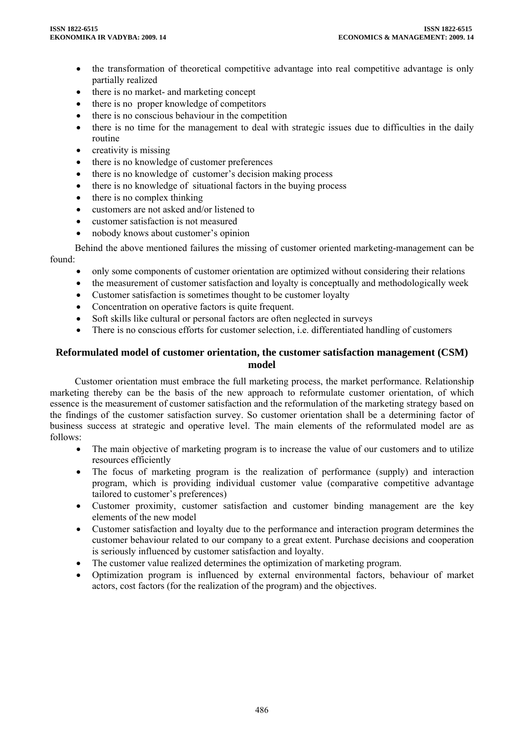- the transformation of theoretical competitive advantage into real competitive advantage is only partially realized
- there is no market- and marketing concept
- there is no proper knowledge of competitors
- there is no conscious behaviour in the competition
- there is no time for the management to deal with strategic issues due to difficulties in the daily routine
- creativity is missing
- there is no knowledge of customer preferences
- there is no knowledge of customer's decision making process
- there is no knowledge of situational factors in the buying process
- there is no complex thinking
- customers are not asked and/or listened to
- customer satisfaction is not measured
- nobody knows about customer's opinion

Behind the above mentioned failures the missing of customer oriented marketing-management can be found:

- only some components of customer orientation are optimized without considering their relations
- the measurement of customer satisfaction and loyalty is conceptually and methodologically week
- Customer satisfaction is sometimes thought to be customer loyalty
- Concentration on operative factors is quite frequent.
- Soft skills like cultural or personal factors are often neglected in surveys
- There is no conscious efforts for customer selection, i.e. differentiated handling of customers

# **Reformulated model of customer orientation, the customer satisfaction management (CSM) model**

Customer orientation must embrace the full marketing process, the market performance. Relationship marketing thereby can be the basis of the new approach to reformulate customer orientation, of which essence is the measurement of customer satisfaction and the reformulation of the marketing strategy based on the findings of the customer satisfaction survey. So customer orientation shall be a determining factor of business success at strategic and operative level. The main elements of the reformulated model are as follows:

- The main objective of marketing program is to increase the value of our customers and to utilize resources efficiently
- The focus of marketing program is the realization of performance (supply) and interaction program, which is providing individual customer value (comparative competitive advantage tailored to customer's preferences)
- Customer proximity, customer satisfaction and customer binding management are the key elements of the new model
- Customer satisfaction and loyalty due to the performance and interaction program determines the customer behaviour related to our company to a great extent. Purchase decisions and cooperation is seriously influenced by customer satisfaction and loyalty.
- The customer value realized determines the optimization of marketing program.
- Optimization program is influenced by external environmental factors, behaviour of market actors, cost factors (for the realization of the program) and the objectives.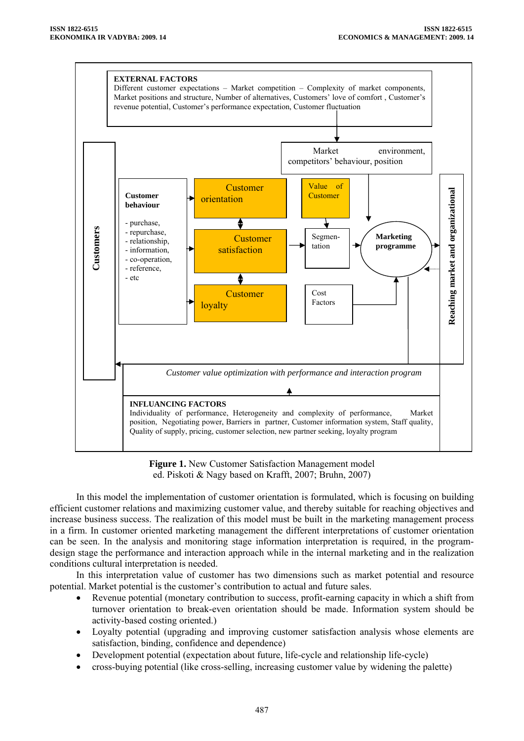

**Figure 1.** New Customer Satisfaction Management model ed. Piskoti & Nagy based on Krafft, 2007; Bruhn, 2007)

In this model the implementation of customer orientation is formulated, which is focusing on building efficient customer relations and maximizing customer value, and thereby suitable for reaching objectives and increase business success. The realization of this model must be built in the marketing management process in a firm. In customer oriented marketing management the different interpretations of customer orientation can be seen. In the analysis and monitoring stage information interpretation is required, in the programdesign stage the performance and interaction approach while in the internal marketing and in the realization conditions cultural interpretation is needed.

In this interpretation value of customer has two dimensions such as market potential and resource potential. Market potential is the customer's contribution to actual and future sales.

- Revenue potential (monetary contribution to success, profit-earning capacity in which a shift from turnover orientation to break-even orientation should be made. Information system should be activity-based costing oriented.)
- Loyalty potential (upgrading and improving customer satisfaction analysis whose elements are satisfaction, binding, confidence and dependence)
- Development potential (expectation about future, life-cycle and relationship life-cycle)
- cross-buying potential (like cross-selling, increasing customer value by widening the palette)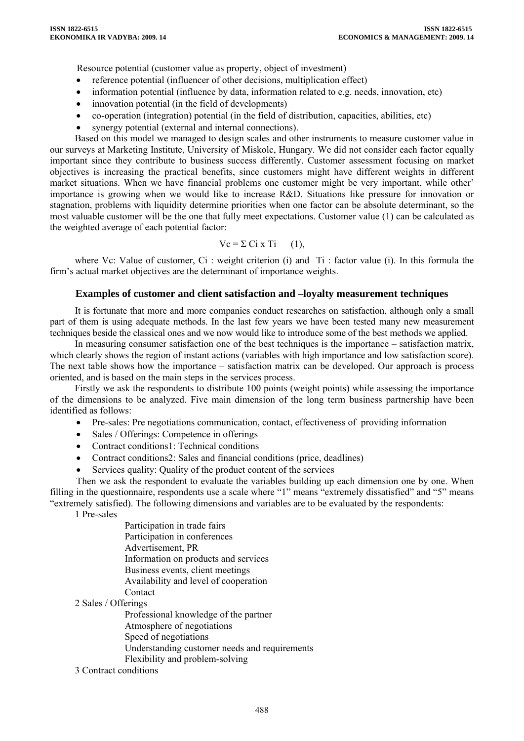Resource potential (customer value as property, object of investment)

- reference potential (influencer of other decisions, multiplication effect)
- information potential (influence by data, information related to e.g. needs, innovation, etc)
- innovation potential (in the field of developments)
- co-operation (integration) potential (in the field of distribution, capacities, abilities, etc)
- synergy potential (external and internal connections).

Based on this model we managed to design scales and other instruments to measure customer value in our surveys at Marketing Institute, University of Miskolc, Hungary. We did not consider each factor equally important since they contribute to business success differently. Customer assessment focusing on market objectives is increasing the practical benefits, since customers might have different weights in different market situations. When we have financial problems one customer might be very important, while other' importance is growing when we would like to increase R&D. Situations like pressure for innovation or stagnation, problems with liquidity determine priorities when one factor can be absolute determinant, so the most valuable customer will be the one that fully meet expectations. Customer value (1) can be calculated as the weighted average of each potential factor:

$$
Vc = \sum Ci \times Ti \qquad (1),
$$

where Vc: Value of customer, Ci : weight criterion (i) and Ti : factor value (i). In this formula the firm's actual market objectives are the determinant of importance weights.

#### **Examples of customer and client satisfaction and –loyalty measurement techniques**

It is fortunate that more and more companies conduct researches on satisfaction, although only a small part of them is using adequate methods. In the last few years we have been tested many new measurement techniques beside the classical ones and we now would like to introduce some of the best methods we applied.

In measuring consumer satisfaction one of the best techniques is the importance – satisfaction matrix, which clearly shows the region of instant actions (variables with high importance and low satisfaction score). The next table shows how the importance – satisfaction matrix can be developed. Our approach is process oriented, and is based on the main steps in the services process.

Firstly we ask the respondents to distribute 100 points (weight points) while assessing the importance of the dimensions to be analyzed. Five main dimension of the long term business partnership have been identified as follows:

- Pre-sales: Pre negotiations communication, contact, effectiveness of providing information
- Sales / Offerings: Competence in offerings
- Contract conditions1: Technical conditions
- Contract conditions2: Sales and financial conditions (price, deadlines)
- Services quality: Quality of the product content of the services

Then we ask the respondent to evaluate the variables building up each dimension one by one. When filling in the questionnaire, respondents use a scale where "1" means "extremely dissatisfied" and "5" means "extremely satisfied). The following dimensions and variables are to be evaluated by the respondents:

1 Pre-sales

 Participation in trade fairs Participation in conferences Advertisement, PR Information on products and services Business events, client meetings Availability and level of cooperation Contact

2 Sales / Offerings

 Professional knowledge of the partner Atmosphere of negotiations Speed of negotiations Understanding customer needs and requirements Flexibility and problem-solving

3 Contract conditions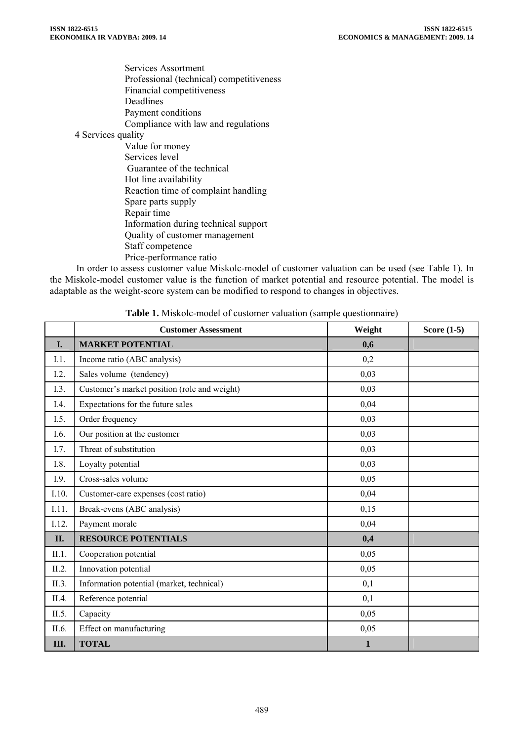Services Assortment Professional (technical) competitiveness Financial competitiveness Deadlines Payment conditions Compliance with law and regulations 4 Services quality Value for money Services level Guarantee of the technical Hot line availability Reaction time of complaint handling Spare parts supply Repair time Information during technical support Quality of customer management Staff competence Price-performance ratio

In order to assess customer value Miskolc-model of customer valuation can be used (see Table 1). In the Miskolc-model customer value is the function of market potential and resource potential. The model is adaptable as the weight-score system can be modified to respond to changes in objectives.

|       | <b>Customer Assessment</b>                   | Weight       | Score $(1-5)$ |
|-------|----------------------------------------------|--------------|---------------|
| I.    | <b>MARKET POTENTIAL</b>                      | 0,6          |               |
| I.1.  | Income ratio (ABC analysis)                  | 0,2          |               |
| I.2.  | Sales volume (tendency)                      | 0,03         |               |
| I.3.  | Customer's market position (role and weight) | 0,03         |               |
| I.4.  | Expectations for the future sales            | 0,04         |               |
| I.5.  | Order frequency                              | 0,03         |               |
| I.6.  | Our position at the customer                 | 0,03         |               |
| I.7.  | Threat of substitution                       | 0,03         |               |
| I.8.  | Loyalty potential                            | 0,03         |               |
| I.9.  | Cross-sales volume                           | 0,05         |               |
| I.10. | Customer-care expenses (cost ratio)          | 0,04         |               |
| I.11. | Break-evens (ABC analysis)                   | 0,15         |               |
| I.12. | Payment morale                               | 0,04         |               |
| II.   | <b>RESOURCE POTENTIALS</b>                   | 0,4          |               |
| II.1. | Cooperation potential                        | 0,05         |               |
| II.2. | Innovation potential                         | 0,05         |               |
| II.3. | Information potential (market, technical)    | 0,1          |               |
| II.4. | Reference potential                          | 0,1          |               |
| II.5. | Capacity                                     | 0,05         |               |
| II.6. | Effect on manufacturing                      | 0,05         |               |
| Ш.    | <b>TOTAL</b>                                 | $\mathbf{1}$ |               |

**Table 1.** Miskolc-model of customer valuation (sample questionnaire)